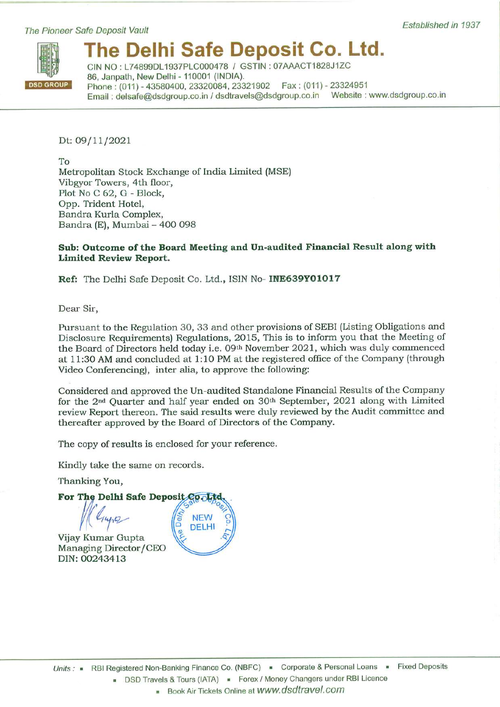## The Pioneer Safe Deposit Vault



# The Delhi Safe Deposit Co. Ltd.

CIN NO: L74899DL1937PLC000478 / GSTIN: 07AAACT1828J1ZC 86, Janpath, New Delhi - 110001 (INDIA). Phone: (011) - 43580400, 23320084, 23321902 Fax: (011) - 23324951 Email: delsafe@dsdgroup.co.in / dsdtravels@dsdgroup.co.in Website: www.dsdgroup.co.in

Dt: 09/11/2021

To Metropolitan Stock Exchange of India Limited (MSE) Vibgyor Towers, 4th floor, Plot No C 62, G - Block, Opp. Trident Hotel, Bandra Kurla Complex, Bandra (E), Mumbai - 400 098

# Sub: Outcome of the Board Meeting and Un-audited Financial Result along with **Limited Review Report.**

Ref: The Delhi Safe Deposit Co. Ltd., ISIN No- INE639Y01017

Dear Sir,

Pursuant to the Regulation 30, 33 and other provisions of SEBI (Listing Obligations and Disclosure Requirements) Regulations, 2015, This is to inform you that the Meeting of the Board of Directors held today i.e. 09th November 2021, which was duly commenced at 11:30 AM and concluded at 1:10 PM at the registered office of the Company (through Video Conferencing), inter alia, to approve the following:

Considered and approved the Un-audited Standalone Financial Results of the Company for the 2<sup>nd</sup> Quarter and half year ended on 30<sup>th</sup> September, 2021 along with Limited review Report thereon. The said results were duly reviewed by the Audit committee and thereafter approved by the Board of Directors of the Company.

The copy of results is enclosed for your reference.

Kindly take the same on records.

Thanking You,

For The Delhi Safe Deposit Cooltd

Vijay Kumar Gupta Managing Director/CEO DIN: 00243413

 $440$ 

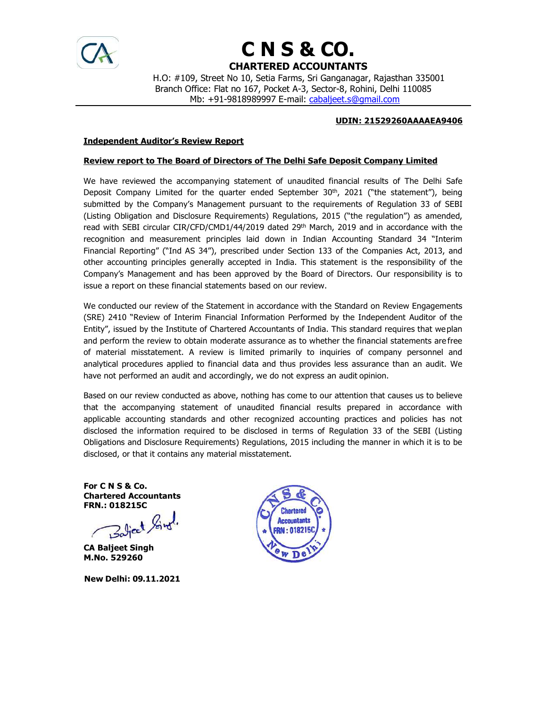

# C N S & CO. CHARTERED ACCOUNTANTS

 H.O: #109, Street No 10, Setia Farms, Sri Ganganagar, Rajasthan 335001 Branch Office: Flat no 167, Pocket A-3, Sector-8, Rohini, Delhi 110085 Mb: +91-9818989997 E-mail: cabaljeet.s@gmail.com

## UDIN: 21529260AAAAEA9406

### Independent Auditor's Review Report

### Review report to The Board of Directors of The Delhi Safe Deposit Company Limited

We have reviewed the accompanying statement of unaudited financial results of The Delhi Safe Deposit Company Limited for the quarter ended September  $30<sup>th</sup>$ , 2021 ("the statement"), being submitted by the Company's Management pursuant to the requirements of Regulation 33 of SEBI (Listing Obligation and Disclosure Requirements) Regulations, 2015 ("the regulation") as amended, read with SEBI circular CIR/CFD/CMD1/44/2019 dated 29<sup>th</sup> March, 2019 and in accordance with the recognition and measurement principles laid down in Indian Accounting Standard 34 "Interim Financial Reporting" ("Ind AS 34"), prescribed under Section 133 of the Companies Act, 2013, and other accounting principles generally accepted in India. This statement is the responsibility of the Company's Management and has been approved by the Board of Directors. Our responsibility is to issue a report on these financial statements based on our review.

We conducted our review of the Statement in accordance with the Standard on Review Engagements (SRE) 2410 "Review of Interim Financial Information Performed by the Independent Auditor of the Entity", issued by the Institute of Chartered Accountants of India. This standard requires that we plan and perform the review to obtain moderate assurance as to whether the financial statements are free of material misstatement. A review is limited primarily to inquiries of company personnel and analytical procedures applied to financial data and thus provides less assurance than an audit. We have not performed an audit and accordingly, we do not express an audit opinion.

Based on our review conducted as above, nothing has come to our attention that causes us to believe that the accompanying statement of unaudited financial results prepared in accordance with applicable accounting standards and other recognized accounting practices and policies has not disclosed the information required to be disclosed in terms of Regulation 33 of the SEBI (Listing Obligations and Disclosure Requirements) Regulations, 2015 including the manner in which it is to be disclosed, or that it contains any material misstatement.

For C N S & Co. Chartered Accountants FRN.: 018215C

Balject Singl

CA Baljeet Singh M.No. 529260

New Delhi: 09.11.2021

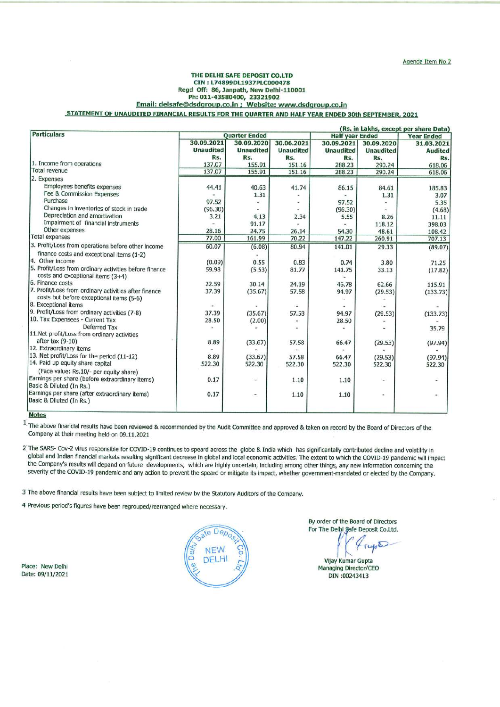#### THE DELHI SAFE DEPOSIT CO.LTD CIN: L74899DL1937PLC000478 Regd Off: 86, Janpath, New Delhi-110001 Ph: 011-43580400, 23321902 Email: delsafe@dsdgroup.co.in ; Website: www.dsdgroup.co.in STATEMENT OF UNAUDITED FINANCIAL RESULTS FOR THE QUARTER AND HALF YEAR ENDED 30th SEPTEMBER, 2021

|                                                                                             |                      |                          |                  | (Rs. in Lakhs, except per share Data) |                  |                    |
|---------------------------------------------------------------------------------------------|----------------------|--------------------------|------------------|---------------------------------------|------------------|--------------------|
| <b>Particulars</b>                                                                          | <b>Quarter Ended</b> |                          |                  | <b>Half year Ended</b>                |                  | <b>Year Ended</b>  |
|                                                                                             | 30.09.2021           | 30.09.2020               | 30.06.2021       | 30.09.2021                            | 30.09.2020       | 31.03.2021         |
|                                                                                             | <b>Unaudited</b>     | <b>Unaudited</b>         | <b>Unaudited</b> | <b>Unaudited</b>                      | <b>Unaudited</b> | <b>Audited</b>     |
|                                                                                             | Rs.                  | Rs.                      | Rs.              | Rs.                                   | Rs.              | Rs.                |
| 1. Income from operations                                                                   | 137.07               | 155.91                   | 151.16           | 288.23                                | 290.24           | 618.06             |
| <b>Total revenue</b>                                                                        | 137.07               | 155.91                   | 151.16           | 288.23                                | 290.24           | 618.06             |
| 2. Expenses                                                                                 |                      |                          |                  |                                       |                  |                    |
| Employees benefits expenses                                                                 | 44.41                | 40.63                    | 41.74            | 86.15                                 | 84.61            | 185.83             |
| Fee & Commission Expenses                                                                   |                      | 1.31                     |                  |                                       | 1.31             | 3.07               |
| Purchase                                                                                    | 97.52                |                          |                  | 97.52                                 |                  | 5.35               |
| Changes in inventories of stock in trade                                                    | (96.30)              |                          |                  | (96.30)                               |                  | (4.68)             |
| Depreciation and amortization                                                               | 3.21                 | 4.13                     | 2.34             | 5.55                                  | 8.26             | 11.11              |
| Impairment of financial instruments                                                         |                      | 91.17                    |                  |                                       | 118.12           | 398.03             |
| Other expenses                                                                              | 28.16                | 24.75                    | 26.14            | 54.30                                 | 48.61            | 108.42             |
| <b>Total expenses</b>                                                                       | 77.00                | 161.99                   | 70.22            | 147.22                                | 260.91           | 707.13             |
| 3. Profit/Loss from operations before other income                                          | 60.07                | (6.08)                   | 80.94            | 141.01                                | 29.33            | (89.07)            |
| finance costs and exceptional items (1-2)                                                   |                      |                          |                  |                                       |                  |                    |
| 4. Other income                                                                             | (0.09)               | 0.55                     | 0.83             | 0.74                                  | 3.80             | 71.25              |
| 5. Profit/Loss from ordinary activities before finance<br>costs and exceptional items (3+4) | 59.98                | (5.53)                   | 81.77            | 141.75                                | 33.13            | (17.82)            |
| 6. Finance costs                                                                            | 22.59                | 30.14                    |                  |                                       |                  |                    |
| 7. Profit/Loss from ordinary activities after finance                                       | 37.39                | (35.67)                  | 24.19<br>57.58   | 46.78<br>94.97                        | 62.66<br>(29.53) | 115.91<br>(133.73) |
| costs but before exceptional items (5-6)                                                    |                      |                          |                  |                                       |                  |                    |
| 8. Exceptional items                                                                        |                      |                          |                  |                                       |                  |                    |
| 9. Profit/Loss from ordinary activities (7-8)                                               | 37.39                | (35.67)                  | 57.58            | 94.97                                 | (29.53)          | (133.73)           |
| 10. Tax Expensees - Current Tax                                                             | 28.50                | (2.00)                   |                  | 28.50                                 |                  |                    |
| Deferred Tax                                                                                |                      |                          |                  |                                       |                  | 35.79              |
| 11. Net profit/Loss from ordinary activities                                                |                      |                          |                  |                                       |                  |                    |
| after tax $(9-10)$                                                                          | 8.89                 | (33.67)                  | 57.58            | 66.47                                 | (29.53)          | (97.94)            |
| 12. Extraordinary items                                                                     |                      |                          |                  |                                       |                  |                    |
| 13. Net profit/Loss for the period (11-12)                                                  | 8.89                 | (33.67)                  | 57.58            | 66.47                                 | (29.53)          | (97.94)            |
| 14. Paid up equity share capital                                                            | 522.30               | 522.30                   | 522.30           | 522.30                                | 522.30           | 522.30             |
| (Face value: Rs.10/- per equity share)                                                      |                      |                          |                  |                                       |                  |                    |
| Earnings per share (before extraordinary items)<br>Basic & Diluted (In Rs.)                 | 0.17                 | $\overline{\phantom{a}}$ | 1.10             | 1.10                                  |                  | u.                 |
| Earnings per share (after extraordinary items)<br>Basic & Diluted (In Rs.)                  | 0.17                 | ۰                        | 1.10             | 1.10                                  |                  |                    |
|                                                                                             |                      |                          |                  |                                       |                  |                    |

#### **Notes**

1. The above financial results have been reviewed & recommended by the Audit Committee and approved & taken on record by the Board of Directors of the Company at their meeting held on 09.11.2021

2 The SARS- Cov-2 virus responsible for COVID-19 continues to speard across the globe & India which has significantally contributed decline and volatility in global and Indian financial markets resulting significant decrease in global and local economic activities. The extent to which the COVID-19 pandemic will impact the Company's results will depand on future developments, which are highly uncertain, including among other things, any new information concerning the severity of the COVID-19 pandemic and any action to prevent the speard or mitigate its impact, whether government-mandated or elected by the Company.

3 The above financial results have been subject to limited review by the Statutory Auditors of the Company.

4 Previous period's figures have been regrouped/rearranged where necessary.

Place: New Delhi Date: 09/11/2021



By order of the Board of Directors For The Delhi Safe Deposit Co.Ltd.

Vijay Kumar Gupta Managing Director/CEO DIN:00243413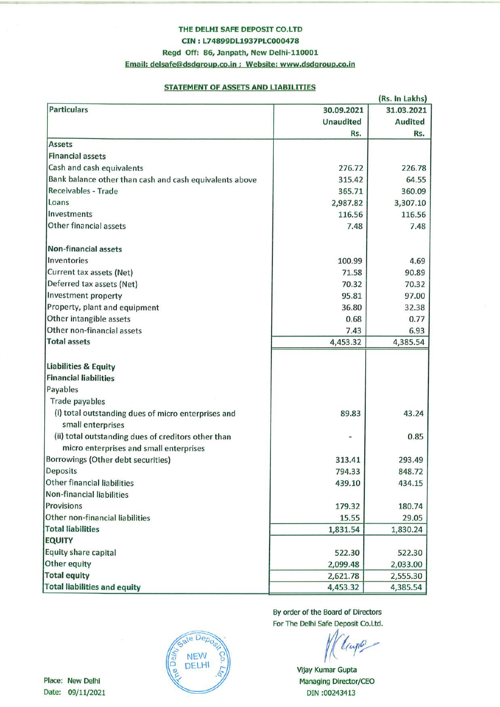# THE DELHI SAFE DEPOSIT CO.LTD

CIN: L74899DL1937PLC000478

# Regd Off: 86, Janpath, New Delhi-110001

Email: delsafe@dsdgroup.co.in ; Website: www.dsdgroup.co.in

# **STATEMENT OF ASSETS AND LIABILITIES**

|                                                         |                  | (Rs. In Lakhs) |
|---------------------------------------------------------|------------------|----------------|
| <b>Particulars</b>                                      | 30.09.2021       | 31.03.2021     |
|                                                         | <b>Unaudited</b> | <b>Audited</b> |
|                                                         | Rs.              | Rs.            |
| <b>Assets</b>                                           |                  |                |
| <b>Financial assets</b>                                 |                  |                |
| Cash and cash equivalents                               | 276.72           | 226.78         |
| Bank balance other than cash and cash equivalents above | 315.42           | 64.55          |
| Receivables - Trade                                     | 365.71           | 360.09         |
| Loans                                                   | 2,987.82         | 3,307.10       |
| Investments                                             | 116.56           | 116.56         |
| Other financial assets                                  | 7.48             | 7.48           |
| <b>Non-financial assets</b>                             |                  |                |
| Inventories                                             | 100.99           | 4.69           |
| Current tax assets (Net)                                | 71.58            | 90.89          |
| Deferred tax assets (Net)                               | 70.32            | 70.32          |
| Investment property                                     | 95.81            | 97.00          |
| Property, plant and equipment                           | 36.80            | 32.38          |
| Other intangible assets                                 | 0.68             | 0.77           |
| Other non-financial assets                              | 7.43             | 6.93           |
| <b>Total assets</b>                                     | 4,453.32         | 4,385.54       |
| Liabilities & Equity                                    |                  |                |
| <b>Financial liabilities</b>                            |                  |                |
| Payables                                                |                  |                |
| <b>Trade payables</b>                                   |                  |                |
| (i) total outstanding dues of micro enterprises and     | 89.83            | 43.24          |
| small enterprises                                       |                  |                |
| (ii) total outstanding dues of creditors other than     |                  | 0.85           |
| micro enterprises and small enterprises                 |                  |                |
| Borrowings (Other debt securities)                      | 313.41           | 293.49         |
| Deposits                                                | 794.33           | 848.72         |
| <b>Other financial liabilities</b>                      | 439.10           | 434.15         |
| Non-financial liabilities                               |                  |                |
| Provisions                                              | 179.32           | 180.74         |
| Other non-financial liabilities                         | 15.55            | 29.05          |
| <b>Total liabilities</b>                                | 1,831.54         | 1,830.24       |
| <b>EQUITY</b>                                           |                  |                |
| Equity share capital                                    | 522.30           | 522.30         |
| Other equity                                            | 2,099.48         | 2,033.00       |
| <b>Total equity</b>                                     | 2,621.78         | 2,555.30       |
| <b>Total liabilities and equity</b>                     | 4,453.32         | 4,385.54       |

By order of the Board of Directors For The Delhi Safe Deposit Co.Ltd.

Vijay Kumar Gupta Managing Director/CEO DIN:00243413

Place: New Delhi Date: 09/11/2021

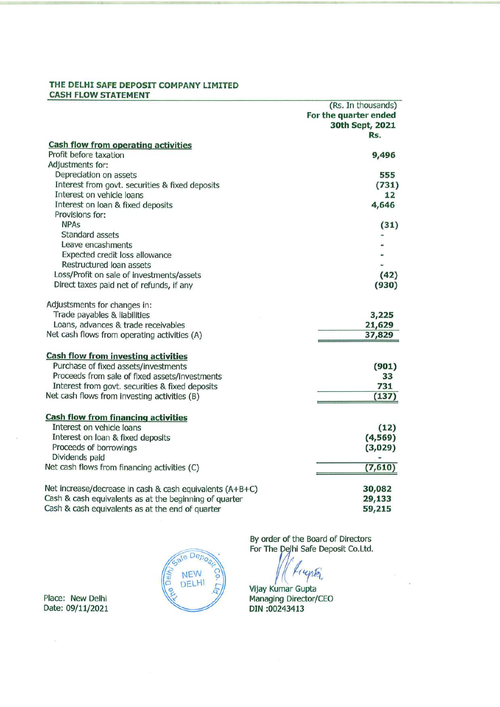# THE DELHI SAFE DEPOSIT COMPANY LIMITED **CASH FLOW STATEMENT**

|                                                                              | (Rs. In thousands)    |
|------------------------------------------------------------------------------|-----------------------|
|                                                                              | For the quarter ended |
|                                                                              | 30th Sept, 2021       |
|                                                                              | Rs.                   |
| <b>Cash flow from operating activities</b><br>Profit before taxation         |                       |
| Adjustments for:                                                             | 9,496                 |
|                                                                              | 555                   |
| Depreciation on assets                                                       |                       |
| Interest from govt. securities & fixed deposits<br>Interest on vehicle loans | (731)<br>12           |
| Interest on loan & fixed deposits                                            | 4,646                 |
| Provisions for:                                                              |                       |
| <b>NPAs</b>                                                                  | (31)                  |
| Standard assets                                                              |                       |
| Leave encashments                                                            |                       |
| Expected credit loss allowance                                               |                       |
| Restructured Ioan assets                                                     |                       |
| Loss/Profit on sale of investments/assets                                    | (42)                  |
| Direct taxes paid net of refunds, if any                                     | (930)                 |
|                                                                              |                       |
| Adjustsments for changes in:                                                 |                       |
| Trade payables & liabilities                                                 | 3,225                 |
| Loans, advances & trade receivables                                          | 21,629                |
| Net cash flows from operating activities (A)                                 | 37,829                |
|                                                                              |                       |
| <b>Cash flow from investing activities</b>                                   |                       |
| Purchase of fixed assets/investments                                         | (901)                 |
| Proceeds from sale of fixed assets/investments                               | 33                    |
| Interest from govt. securities & fixed deposits                              | 731                   |
| Net cash flows from investing activities (B)                                 | (137)                 |
|                                                                              |                       |
| <b>Cash flow from financing activities</b><br>Interest on vehicle loans      |                       |
|                                                                              | (12)                  |
| Interest on loan & fixed deposits                                            | (4, 569)              |
| Proceeds of borrowings<br>Dividends paid                                     | (3,029)               |
| Net cash flows from financing activities (C)                                 | (7,610)               |
|                                                                              |                       |
| Net increase/decrease in cash & cash equivalents (A+B+C)                     | 30,082                |
| Cash & cash equivalents as at the beginning of quarter                       | 29,133                |
| Cash & cash equivalents as at the end of quarter                             | 59,215                |
|                                                                              |                       |

Place: New Delhi Date: 09/11/2021



By order of the Board of Directors<br>For The Delhi Safe Deposit Co.Ltd.

ynta

Vijay Kumar Gupta Managing Director/CEO<br>DIN :00243413